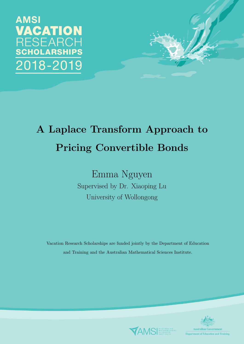



# A Laplace Transform Approach to Pricing Convertible Bonds

Emma Nguyen Supervised by Dr. Xiaoping Lu University of Wollongong

Vacation Research Scholarships are funded jointly by the Department of Education and Training and the Australian Mathematical Sciences Institute.



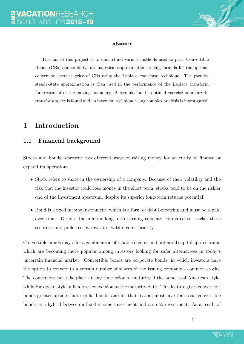

#### Abstract

The aim of this project is to understand various methods used to price Convertible Bonds (CBs) and to derive an analytical approximation pricing formula for the optimal conversion exercise price of CBs using the Laplace transform technique. The pseudosteady-state approximation is then used in the performance of the Laplace transform for treatment of the moving boundary. A formula for the optimal exercise boundary in transform space is found and an inversion technique using complex analysis is investigated.

#### 1 Introduction

#### 1.1 Financial background

Stocks and bonds represent two different ways of raising money for an entity to finance or expand its operations:

- Stock refers to share in the ownership of a company. Because of their volatility and the risk that the investor could lose money in the short term, stocks tend to be on the riskier end of the investment spectrum, despite its superior long-term returns potential.
- Bond is a fixed income instrument, which is a form of debt borrowing and must be repaid over time. Despite the inferior long-term earning capacity compared to stocks, these securities are preferred by investors with income priority.

Convertible bonds may offer a combination of reliable income and potential capital appreciation, which are becoming more popular among investors looking for safer alternatives in today's uncertain financial market. Convertible bonds are corporate bonds, in which investors have the option to convert to a certain number of shares of the issuing company's common stocks. The conversion can take place at any time prior to maturity if the bond is of American style, while European style only allows conversion at the maturity date. This feature gives convertible bonds greater upside than regular bonds, and for that reason, most investors treat convertible bonds as a hybrid between a fixed-income investment and a stock investment. As a result of

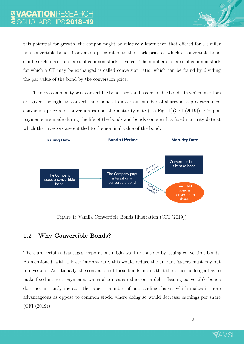

The most common type of convertible bonds are vanilla convertible bonds, in which investors are given the right to convert their bonds to a certain number of shares at a predetermined conversion price and conversion rate at the maturity date (see Fig. 1)(CFI (2019)). Coupon payments are made during the life of the bonds and bonds come with a fixed maturity date at which the investors are entitled to the nominal value of the bond.



Figure 1: Vanilla Convertible Bonds Illustration (CFI (2019))

#### 1.2 Why Convertible Bonds?

There are certain advantages corporations might want to consider by issuing convertible bonds. As mentioned, with a lower interest rate, this would reduce the amount issuers must pay out to investors. Additionally, the conversion of these bonds means that the issuer no longer has to make fixed interest payments, which also means reduction in debt. Issuing convertible bonds does not instantly increase the issuer's number of outstanding shares, which makes it more advantageous as oppose to common stock, where doing so would decrease earnings per share (CFI (2019)).

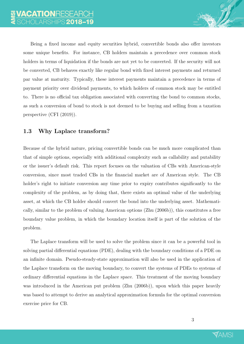Being a fixed income and equity securities hybrid, convertible bonds also offer investors some unique benefits. For instance, CB holders maintain a precedence over common stock holders in terms of liquidation if the bonds are not yet to be converted. If the security will not be converted, CB behaves exactly like regular bond with fixed interest payments and returned par value at maturity. Typically, these interest payments maintain a precedence in terms of payment priority over dividend payments, to which holders of common stock may be entitled to. There is no official tax obligation associated with converting the bond to common stocks, as such a conversion of bond to stock is not deemed to be buying and selling from a taxation perspective (CFI (2019)).

#### 1.3 Why Laplace transform?

Because of the hybrid nature, pricing convertible bonds can be much more complicated than that of simple options, especially with additional complexity such as callability and putability or the issuer's default risk. This report focuses on the valuation of CBs with American-style conversion, since most traded CBs in the financial market are of American style. The CB holder's right to initiate conversion any time prior to expiry contributes significantly to the complexity of the problem, as by doing that, there exists an optimal value of the underlying asset, at which the CB holder should convert the bond into the underlying asset. Mathematically, similar to the problem of valuing American options (Zhu (2006b)), this constitutes a free boundary value problem, in which the boundary location itself is part of the solution of the problem.

The Laplace transform will be used to solve the problem since it can be a powerful tool in solving partial differential equations (PDE), dealing with the boundary conditions of a PDE on an infinite domain. Pseudo-steady-state approximation will also be used in the application of the Laplace transform on the moving boundary, to convert the systems of PDEs to systems of ordinary differential equations in the Laplace space. This treatment of the moving boundary was introduced in the American put problem (Zhu (2006b)), upon which this paper heavily was based to attempt to derive an analytical approximation formula for the optimal conversion exercise price for CB.

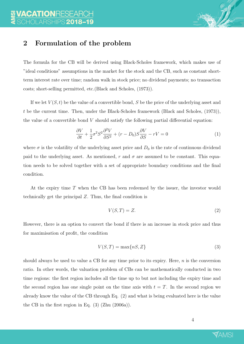

#### 2 Formulation of the problem

The formula for the CB will be derived using Black-Scholes framework, which makes use of "ideal conditions" assumptions in the market for the stock and the CB, such as constant shortterm interest rate over time; random walk in stock price; no dividend payments; no transaction costs; short-selling permitted, etc.(Black and Scholes, (1973)).

If we let  $V(S, t)$  be the value of a convertible bond, S be the price of the underlying asset and t be the current time. Then, under the Black-Scholes framework (Black and Scholes, (1973)), the value of a convertible bond  $V$  should satisfy the following partial differential equation:

$$
\frac{\partial V}{\partial t} + \frac{1}{2}\sigma^2 S^2 \frac{\partial^2 V}{\partial S^2} + (r - D_0)S \frac{\partial V}{\partial S} - rV = 0
$$
\n(1)

where  $\sigma$  is the volatility of the underlying asset price and  $D_0$  is the rate of continuous dividend paid to the underlying asset. As mentioned, r and  $\sigma$  are assumed to be constant. This equation needs to be solved together with a set of appropriate boundary conditions and the final condition.

At the expiry time T when the CB has been redeemed by the issuer, the investor would technically get the principal  $Z$ . Thus, the final condition is

$$
V(S,T) = Z.\t\t(2)
$$

However, there is an option to convert the bond if there is an increase in stock price and thus for maximisation of profit, the condition

$$
V(S,T) = \max\{nS, Z\}
$$
\n(3)

should always be used to value a CB for any time prior to its expiry. Here,  $n$  is the conversion ratio. In other words, the valuation problem of CBs can be mathematically conducted in two time regions: the first region includes all the time up to but not including the expiry time and the second region has one single point on the time axis with  $t = T$ . In the second region we already know the value of the CB through Eq. (2) and what is being evaluated here is the value the CB in the first region in Eq. (3) (Zhu (2006a)).

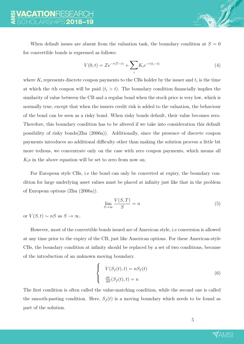When default issues are absent from the valuation task, the boundary condition at  $S = 0$ for convertible bonds is expressed as follows:

$$
V(0,t) = Ze^{-r(T-t)} + \sum_{i} K_i e^{-r(t_i-t)}
$$
\n(4)

where  $K_i$  represents discrete coupon payments to the CBs holder by the issuer and  $t_i$  is the time at which the *i*th coupon will be paid  $(t_i > t)$ . The boundary condition financially implies the similarity of value between the CB and a regular bond when the stock price is very low, which is normally true, except that when the issuers credit risk is added to the valuation, the behaviour of the bond can be seen as a risky bond. When risky bonds default, their value becomes zero. Therefore, this boundary condition has to be altered if we take into consideration this default possibility of risky bonds(Zhu (2006a)). Additionally, since the presence of discrete coupon payments introduces no additional difficulty other than making the solution process a little bit more tedious, we concentrate only on the case with zero coupon payments, which means all  $K_i$ s in the above equation will be set to zero from now on.

For European style CBs, i.e the bond can only be converted at expiry, the boundary condition for large underlying asset values must be placed at infinity just like that in the problem of European options (Zhu (2006a)).

$$
\lim_{S \to \infty} \frac{V(S, T)}{S} = n \tag{5}
$$

or  $V(S, t) \sim nS$  as  $S \to \infty$ .

However, most of the convertible bonds issued are of American style, i.e conversion is allowed at any time prior to the expiry of the CB, just like American options. For these American-style CBs, the boundary condition at infinity should be replaced by a set of two conditions, because of the introduction of an unknown moving boundary.

$$
\begin{cases}\nV(S_f(t), t) = nS_f(t) \\
\frac{\partial V}{\partial S}(S_f(t), t) = n\n\end{cases}
$$
\n(6)

The first condition is often called the value-matching condition, while the second one is called the smooth-pasting condition. Here,  $S_f(t)$  is a moving boundary which needs to be found as part of the solution.

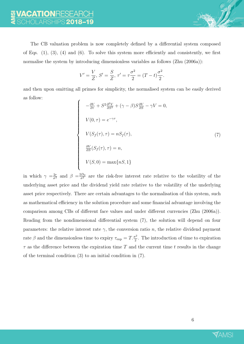$\begin{array}{c} \begin{array}{c} \begin{array}{c} \begin{array}{c} \end{array} \\ \end{array} \end{array} \end{array}$ 

The CB valuation problem is now completely defined by a differential system composed of Eqs.  $(1)$ ,  $(3)$ ,  $(4)$  and  $(6)$ . To solve this system more efficiently and consistently, we first normalise the system by introducing dimensionless variables as follows (Zhu (2006a)):

$$
V' = \frac{V}{Z}, \ S' = \frac{S}{Z}, \ \tau' = \tau \frac{\sigma^2}{2} = (T - t) \frac{\sigma^2}{2}.
$$

and then upon omitting all primes for simplicity, the normalised system can be easily derived as follow:  $\sqrt{ }$ 

$$
-\frac{\partial V}{\partial \tau} + S^2 \frac{\partial^2 V}{\partial S^2} + (\gamma - \beta) S \frac{\partial V}{\partial S} - \gamma V = 0,
$$
  
\n
$$
V(0, \tau) = e^{-\gamma \tau},
$$
  
\n
$$
V(S_f(\tau), \tau) = n S_f(\tau),
$$
  
\n
$$
\frac{\partial V}{\partial S}(S_f(\tau), \tau) = n,
$$
  
\n
$$
V(S, 0) = \max\{nS, 1\}
$$
  
\n(7)

in which  $\gamma = \frac{2r}{\sigma^2}$  and  $\beta = \frac{2D_0}{\sigma^2}$  are the risk-free interest rate relative to the volatility of the underlying asset price and the dividend yield rate relative to the volatility of the underlying asset price respectively. There are certain advantages to the normalisation of this system, such as mathematical efficiency in the solution procedure and some financial advantage involving the comparison among CBs of different face values and under different currencies (Zhu (2006a)). Reading from the nondimensional differential system (7), the solution will depend on four parameters: the relative interest rate  $\gamma$ , the conversion ratio n, the relative dividend payment rate  $\beta$  and the dimensionless time to expiry  $\tau_{\exp} = T \frac{\sigma^2}{2}$  $\frac{\tau^2}{2}$ . The introduction of time to expiration  $\tau$  as the difference between the expiration time T and the current time t results in the change of the terminal condition (3) to an initial condition in (7).

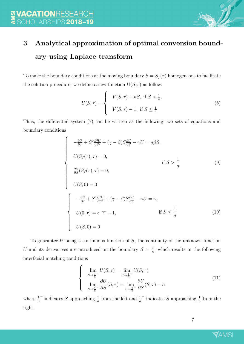## 3 Analytical approximation of optimal conversion boundary using Laplace transform

To make the boundary conditions at the moving boundary  $S = S_f(\tau)$  homogeneous to facilitate the solution procedure, we define a new function  $U(S,\tau)$  as follow.

$$
U(S,\tau) = \begin{cases} V(S,\tau) - nS, & \text{if } S > \frac{1}{n}, \\ V(S,\tau) - 1, & \text{if } S \le \frac{1}{n} \end{cases}
$$
 (8)

Thus, the differential system (7) can be written as the following two sets of equations and boundary conditions

$$
\begin{cases}\n-\frac{\partial U}{\partial \tau} + S^2 \frac{\partial^2 U}{\partial S^2} + (\gamma - \beta) S \frac{\partial U}{\partial S} - \gamma U = n\beta S, \\
U(S_f(\tau), \tau) = 0, & \text{if } S > \frac{1}{n} \\
\frac{\partial U}{\partial S} (S_f(\tau), \tau) = 0, \\
U(S, 0) = 0\n\end{cases}
$$
\n
$$
\begin{cases}\n-\frac{\partial U}{\partial \tau} + S^2 \frac{\partial^2 U}{\partial S^2} + (\gamma - \beta) S \frac{\partial U}{\partial S} - \gamma U = \gamma, \\
U(0, \tau) = e^{-\gamma \tau} - 1, & \text{if } S \le \frac{1}{n} \\
U(S, 0) = 0\n\end{cases}
$$
\n(10)

To guarantee  $U$  being a continuous function of  $S$ , the continuity of the unknown function U and its derivatives are introduced on the boundary  $S = \frac{1}{n}$  $\frac{1}{n}$ , which results in the following interfacial matching conditions

$$
\begin{cases}\n\lim_{S \to \frac{1}{n}^{-}} U(S, \tau) = \lim_{S \to \frac{1}{n}^{+}} U(S, \tau) \\
\lim_{S \to \frac{1}{n}^{-}} \frac{\partial U}{\partial S}(S, \tau) = \lim_{S \to \frac{1}{n}^{+}} \frac{\partial U}{\partial S}(S, \tau) - n\n\end{cases}
$$
\n(11)

where  $\frac{1}{n}$  $\frac{1}{n}$  indicates S approaching  $\frac{1}{n}$  from the left and  $\frac{1}{n}$ <sup>+</sup> indicates S approaching  $\frac{1}{n}$  from the right.

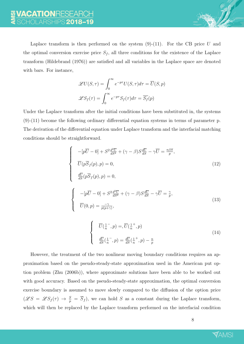

$$
\mathcal{L}U(S,\tau) = \int_0^\infty e^{-p\tau} U(S,\tau) d\tau = \overline{U}(S,p)
$$

$$
\mathcal{L}S_f(\tau) = \int_0^\infty e^{-p\tau} S_f(\tau) d\tau = \overline{S_f}(p)
$$

Under the Laplace transform after the initial conditions have been substituted in, the systems (9)-(11) become the following ordinary differential equation systems in terms of parameter p. The derivation of the differential equation under Laplace transform and the interfacial matching conditions should be straightforward.

$$
\begin{cases}\n-[p\overline{U}-0] + S^2 \frac{d^2 \overline{U}}{dS^2} + (\gamma - \beta) S \frac{d\overline{U}}{dS} - \gamma \overline{U} = \frac{n\beta S}{p}, \\
\overline{U}(p\overline{S}_f(p), p) = 0, \\
\frac{d\overline{U}}{dS}(p\overline{S}_f(p), p) = 0, \\
\begin{cases}\n-[p\overline{U}-0] + S^2 \frac{d^2 \overline{U}}{dS^2} + (\gamma - \beta) S \frac{d\overline{U}}{dS} - \gamma \overline{U} = \frac{\gamma}{p}, \\
\overline{U}(0, p) = \frac{-\gamma}{p(p+\gamma)},\n\end{cases}\n\tag{13}
$$
\n
$$
\overline{U}(\overline{U}, \overline{U}) = \overline{U}(\frac{1}{n}, p) = \overline{U}(\frac{1}{n}, p)
$$
\n
$$
\begin{cases}\n\overline{U}(\frac{1}{n}, p) = \frac{d\overline{U}}{dS}(\frac{1}{n}, p) - \frac{n}{p}\n\end{cases}
$$
\n
$$
(14)
$$

However, the treatment of the two nonlinear moving boundary conditions requires an approximation based on the pseudo-steady-state approximation used in the American put option problem (Zhu (2006b)), where approximate solutions have been able to be worked out with good accuracy. Based on the pseudo-steady-state approximation, the optimal conversion exercise boundary is assumed to move slowly compared to the diffusion of the option price  $(\mathscr{L}S = \mathscr{L}S_f(\tau) \to \frac{S}{p} = \overline{S}_f$ , we can hold S as a constant during the Laplace transform, which will then be replaced by the Laplace transform performed on the interfacial condition

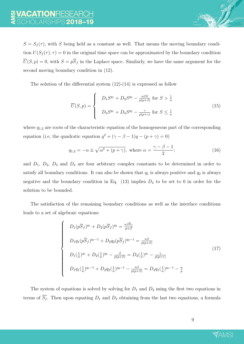$S = S_f(\tau)$ , with S being held as a constant as well. That means the moving boundary condition  $U(S_f(\tau), \tau) = 0$  in the original time space can be approximated by the boundary condition  $\overline{U}(S, p) = 0$ , with  $S = p\overline{S}_f$  in the Laplace space. Similarly, we have the same argument for the second moving boundary condition in (12).

The solution of the differential system  $(12)-(14)$  is expressed as follow

$$
\overline{U}(S,p) = \begin{cases} D_1 S^{q_1} + D_2 S^{q_2} - \frac{n\beta S}{p(p+\beta)} & \text{for } S > \frac{1}{n} \\ D_3 S^{q_1} + D_4 S^{q_2} - \frac{\gamma}{p(p+\gamma)} & \text{for } S \le \frac{1}{n} \end{cases}
$$
(15)

where  $q_{1,2}$  are roots of the characteristic equation of the homogeneous part of the corresponding equation (i.e, the quadratic equation  $q^2 + (\gamma - \beta - 1)q - (p + \gamma) = 0$ )

$$
q_{1,2} = -\alpha \pm \sqrt{\alpha^2 + (p + \gamma)}, \text{ where } \alpha = \frac{\gamma - \beta - 1}{2};
$$
 (16)

and  $D_1$ ,  $D_2$ ,  $D_3$  and  $D_4$  are four arbitrary complex constants to be determined in order to satisfy all boundary conditions. It can also be shown that  $q_1$  is always positive and  $q_2$  is always negative and the boundary condition in Eq.  $(13)$  implies  $D_4$  to be set to 0 in order for the solution to be bounded.

The satisfaction of the remaining boundary conditions as well as the interface conditions leads to a set of algebraic equations:

$$
\begin{cases}\nD_1(p\overline{S}_f)^{q_1} + D_2(p\overline{S}_f)^{q_2} = \frac{n\beta \overline{S}_f}{p+\beta} \\
D_1q_1(p\overline{S}_f)^{q_1-1} + D_2q_2(p\overline{S}_f)^{q_2-1} = \frac{n\beta}{p(p+\beta)} \\
D_1(\frac{1}{n})^{q_1} + D_2(\frac{1}{n})^{q_2} - \frac{\beta}{p(p+\beta)} = D_3(\frac{1}{n})^{q_1} - \frac{\gamma}{p(p+\gamma)} \\
D_1q_1(\frac{1}{n})^{q_1-1} + D_2q_2(\frac{1}{n})^{q_2-1} - \frac{n\beta}{p(p+\beta)} = D_3q_1(\frac{1}{n})^{q_1-1} - \frac{n}{p}\n\end{cases} (17)
$$

The system of equations is solved by solving for  $D_1$  and  $D_2$  using the first two equations in terms of  $\overline{S_f}$ . Then upon equating  $D_1$  and  $D_2$  obtaining from the last two equations, a formula

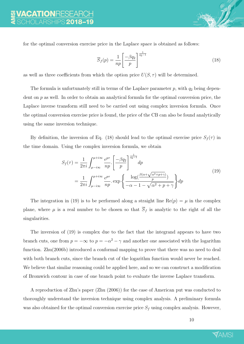for the optimal conversion exercise price in the Laplace space is obtained as follows:

$$
\overline{S}_f(p) = \frac{1}{np} \left[ \frac{-\beta q_2}{p} \right]^{\frac{1}{q_2 - 1}} \tag{18}
$$

as well as three coefficients from which the option price  $U(S, \tau)$  will be determined.

The formula is unfortunately still in terms of the Laplace parameter  $p$ , with  $q_2$  being dependent on  $p$  as well. In order to obtain an analytical formula for the optimal conversion price, the Laplace inverse transform still need to be carried out using complex inversion formula. Once the optimal conversion exercise price is found, the price of the CB can also be found analytically using the same inversion technique.

By definition, the inversion of Eq. (18) should lead to the optimal exercise price  $S_f(\tau)$  in the time domain. Using the complex inversion formula, we obtain

$$
S_f(\tau) = \frac{1}{2\pi i} \int_{\mu - i\infty}^{\mu + i\infty} \frac{e^{p\tau}}{np} \cdot \left[ \frac{-\beta q_2}{p} \right]^{\frac{1}{q_2 - 1}} dp
$$
  
= 
$$
\frac{1}{2\pi i} \int_{\mu - i\infty}^{\mu + i\infty} \frac{e^{p\tau}}{np} \cdot \exp\left\{ \frac{\log(\frac{\beta(\alpha + \sqrt{\alpha^2 + p + \gamma})}{p})}{-\alpha - 1 - \sqrt{\alpha^2 + p + \gamma}} \right\} dp
$$
 (19)

The integration in (19) is to be performed along a straight line  $\text{Re}(p) = \mu$  in the complex plane, where  $\mu$  is a real number to be chosen so that  $\overline{S}_f$  is analytic to the right of all the singularities.

The inversion of (19) is complex due to the fact that the integrand appears to have two branch cuts, one from  $p = -\infty$  to  $p = -\alpha^2 - \gamma$  and another one associated with the logarithm function. Zhu(2006b) introduced a conformal mapping to prove that there was no need to deal with both branch cuts, since the branch cut of the logarithm function would never be reached. We believe that similar reasoning could be applied here, and so we can construct a modification of Bromwich contour in case of one branch point to evaluate the inverse Laplace transform.

A reproduction of Zhu's paper (Zhu (2006)) for the case of American put was conducted to thoroughly understand the inversion technique using complex analysis. A preliminary formula was also obtained for the optimal conversion exercise price  $S_f$  using complex analysis. However,

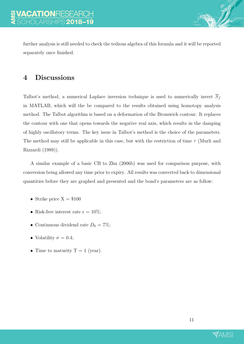further analysis is still needed to check the tedious algebra of this formula and it will be reported separately once finished.

#### 4 Discussions

Talbot's method, a numerical Laplace inversion technique is used to numerically invert  $\overline{S}_f$ in MATLAB, which will the be compared to the results obtained using homotopy analysis method. The Talbot algorithm is based on a deformation of the Bromwich contour. It replaces the contour with one that opens towards the negative real axis, which results in the damping of highly oscillatory terms. The key issue in Talbot's method is the choice of the parameters. The method may still be applicable in this case, but with the restriction of time  $\tau$  (Murli and Rizzardi (1989)).

A similar example of a basic CB to Zhu (2006b) was used for comparison purpose, with conversion being allowed any time prior to expiry. All results was converted back to dimensional quantities before they are graphed and presented and the bond's parameters are as follow:

- Strike price  $X = $100$
- Risk-free interest rate  $r = 10\%$ ;
- Continuous dividend rate  $D_0 = 7\%$ ;
- Volatility  $\sigma = 0.4$ ;
- Time to maturity  $T = 1$  (year).

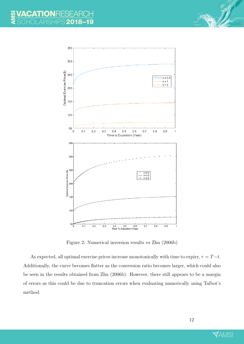

Figure 2: Numerical inversion results vs Zhu (2006b)

As expected, all optimal exercise prices increase monotonically with time to expiry,  $\tau = T-t$ . Additionally, the curve becomes flatter as the conversion ratio becomes larger, which could also be seen in the results obtained from Zhu (2006b). However, there still appears to be a margin of errors as this could be due to truncation errors when evaluating numerically using Talbot's method.

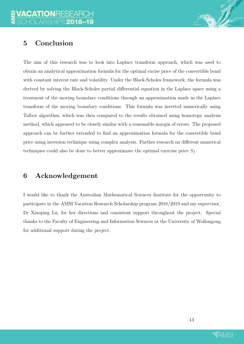### 5 Conclusion

The aim of this research was to look into Laplace transform approach, which was used to obtain an analytical approximation formula for the optimal excise price of the convertible bond with constant interest rate and volatility. Under the Black-Scholes framework, the formula was derived by solving the Black-Scholes partial differential equation in the Laplace space using a treatment of the moving boundary conditions through an approximation made in the Laplace transform of the moving boundary conditions. This formula was inverted numerically using Talbot algorithm, which was then compared to the results obtained using homotopy analysis method, which appeared to be closely similar with a reasonable margin of errors. The proposed approach can be further extended to find an approximation formula for the convertible bond price using inversion technique using complex analysis. Further research on different numerical techniques could also be done to better approximate the optimal exercise price  $S_f$ .

#### 6 Acknowledgement

I would like to thank the Australian Mathematical Sciences Institute for the opportunity to participate in the AMSI Vacation Research Scholarship program 2018/2019 and my supervisor, Dr Xiaoping Lu, for her directions and consistent support throughout the project. Special thanks to the Faculty of Engineering and Information Sciences at the University of Wollongong for additional support during the project.